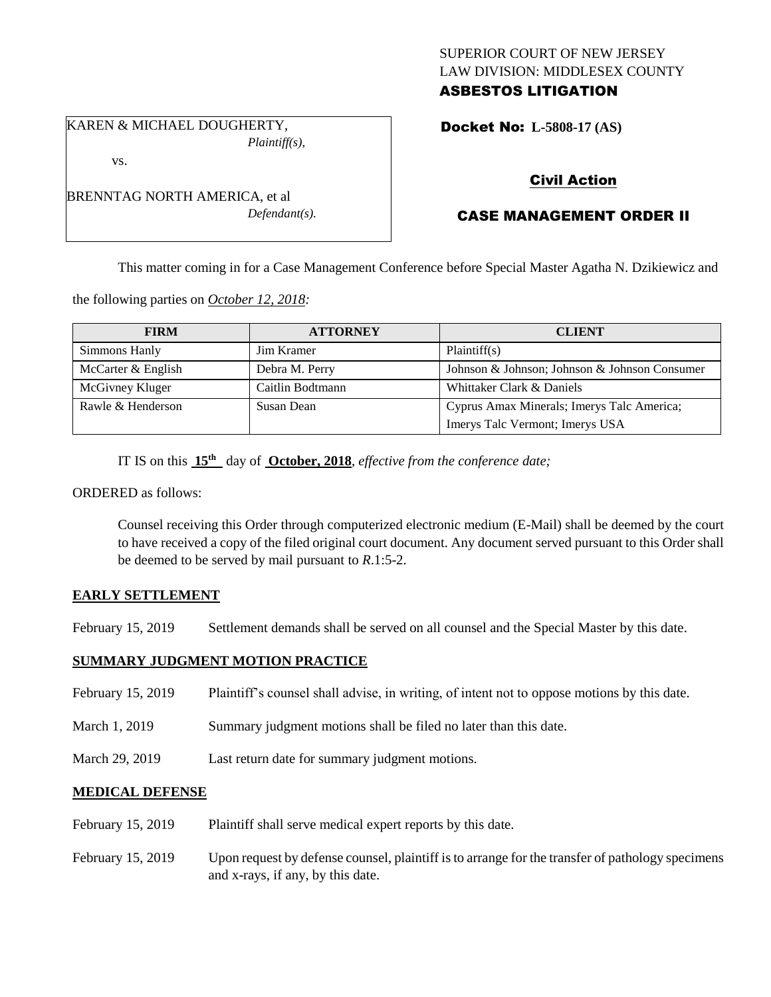## SUPERIOR COURT OF NEW JERSEY LAW DIVISION: MIDDLESEX COUNTY ASBESTOS LITIGATION

Docket No: **L-5808-17 (AS)** 

## Civil Action

# CASE MANAGEMENT ORDER II

This matter coming in for a Case Management Conference before Special Master Agatha N. Dzikiewicz and

the following parties on *October 12, 2018:*

| <b>FIRM</b>        | <b>ATTORNEY</b>  | <b>CLIENT</b>                                 |
|--------------------|------------------|-----------------------------------------------|
| Simmons Hanly      | Jim Kramer       | Plaintiff(s)                                  |
| McCarter & English | Debra M. Perry   | Johnson & Johnson; Johnson & Johnson Consumer |
| McGivney Kluger    | Caitlin Bodtmann | Whittaker Clark & Daniels                     |
| Rawle & Henderson  | Susan Dean       | Cyprus Amax Minerals; Imerys Talc America;    |
|                    |                  | Imerys Talc Vermont; Imerys USA               |

IT IS on this **15th** day of **October, 2018**, *effective from the conference date;*

ORDERED as follows:

Counsel receiving this Order through computerized electronic medium (E-Mail) shall be deemed by the court to have received a copy of the filed original court document. Any document served pursuant to this Order shall be deemed to be served by mail pursuant to *R*.1:5-2.

### **EARLY SETTLEMENT**

February 15, 2019 Settlement demands shall be served on all counsel and the Special Master by this date.

### **SUMMARY JUDGMENT MOTION PRACTICE**

- February 15, 2019 Plaintiff's counsel shall advise, in writing, of intent not to oppose motions by this date.
- March 1, 2019 Summary judgment motions shall be filed no later than this date.
- March 29, 2019 Last return date for summary judgment motions.

#### **MEDICAL DEFENSE**

- February 15, 2019 Plaintiff shall serve medical expert reports by this date.
- February 15, 2019 Upon request by defense counsel, plaintiff is to arrange for the transfer of pathology specimens and x-rays, if any, by this date.

KAREN & MICHAEL DOUGHERTY, *Plaintiff(s),*

vs.

BRENNTAG NORTH AMERICA, et al *Defendant(s).*